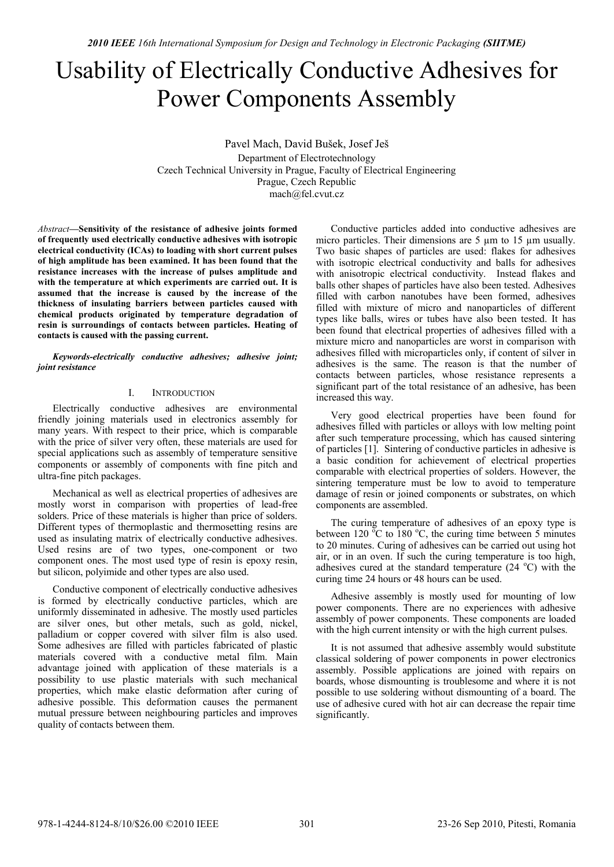# Usability of Electrically Conductive Adhesives for Power Components Assembly

Pavel Mach, David Bušek, Josef Ješ Department of Electrotechnology Czech Technical University in Prague, Faculty of Electrical Engineering Prague, Czech Republic mach@fel.cvut.cz

*Abstract***—Sensitivity of the resistance of adhesive joints formed of frequently used electrically conductive adhesives with isotropic electrical conductivity (ICAs) to loading with short current pulses of high amplitude has been examined. It has been found that the resistance increases with the increase of pulses amplitude and with the temperature at which experiments are carried out. It is assumed that the increase is caused by the increase of the thickness of insulating barriers between particles caused with chemical products originated by temperature degradation of resin is surroundings of contacts between particles. Heating of contacts is caused with the passing current.** 

*Keywords-electrically conductive adhesives; adhesive joint; joint resistance*

#### I. INTRODUCTION

Electrically conductive adhesives are environmental friendly joining materials used in electronics assembly for many years. With respect to their price, which is comparable with the price of silver very often, these materials are used for special applications such as assembly of temperature sensitive components or assembly of components with fine pitch and ultra-fine pitch packages.

Mechanical as well as electrical properties of adhesives are mostly worst in comparison with properties of lead-free solders. Price of these materials is higher than price of solders. Different types of thermoplastic and thermosetting resins are used as insulating matrix of electrically conductive adhesives. Used resins are of two types, one-component or two component ones. The most used type of resin is epoxy resin, but silicon, polyimide and other types are also used.

Conductive component of electrically conductive adhesives is formed by electrically conductive particles, which are uniformly disseminated in adhesive. The mostly used particles are silver ones, but other metals, such as gold, nickel, palladium or copper covered with silver film is also used. Some adhesives are filled with particles fabricated of plastic materials covered with a conductive metal film. Main advantage joined with application of these materials is a possibility to use plastic materials with such mechanical properties, which make elastic deformation after curing of adhesive possible. This deformation causes the permanent mutual pressure between neighbouring particles and improves quality of contacts between them.

Conductive particles added into conductive adhesives are micro particles. Their dimensions are 5  $\mu$ m to 15  $\mu$ m usually. Two basic shapes of particles are used: flakes for adhesives with isotropic electrical conductivity and balls for adhesives with anisotropic electrical conductivity. Instead flakes and balls other shapes of particles have also been tested. Adhesives filled with carbon nanotubes have been formed, adhesives filled with mixture of micro and nanoparticles of different types like balls, wires or tubes have also been tested. It has been found that electrical properties of adhesives filled with a mixture micro and nanoparticles are worst in comparison with adhesives filled with microparticles only, if content of silver in adhesives is the same. The reason is that the number of contacts between particles, whose resistance represents a significant part of the total resistance of an adhesive, has been increased this way.

Very good electrical properties have been found for adhesives filled with particles or alloys with low melting point after such temperature processing, which has caused sintering of particles [1]. Sintering of conductive particles in adhesive is a basic condition for achievement of electrical properties comparable with electrical properties of solders. However, the sintering temperature must be low to avoid to temperature damage of resin or joined components or substrates, on which components are assembled.

The curing temperature of adhesives of an epoxy type is between 120  $\mathrm{^{\circ}C}$  to 180  $\mathrm{^{\circ}C}$ , the curing time between 5 minutes to 20 minutes. Curing of adhesives can be carried out using hot air, or in an oven. If such the curing temperature is too high, adhesives cured at the standard temperature  $(24 \text{ °C})$  with the curing time 24 hours or 48 hours can be used.

Adhesive assembly is mostly used for mounting of low power components. There are no experiences with adhesive assembly of power components. These components are loaded with the high current intensity or with the high current pulses.

It is not assumed that adhesive assembly would substitute classical soldering of power components in power electronics assembly. Possible applications are joined with repairs on boards, whose dismounting is troublesome and where it is not possible to use soldering without dismounting of a board. The use of adhesive cured with hot air can decrease the repair time significantly.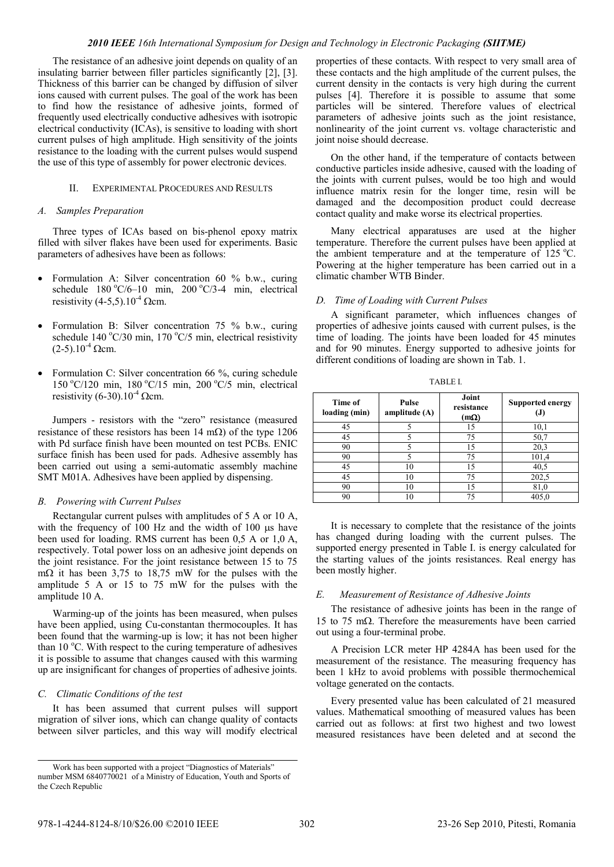#### *2010 IEEE 16th International Symposium for Design and Technology in Electronic Packaging (SIITME)*

The resistance of an adhesive joint depends on quality of an insulating barrier between filler particles significantly [2], [3]. Thickness of this barrier can be changed by diffusion of silver ions caused with current pulses. The goal of the work has been to find how the resistance of adhesive joints, formed of frequently used electrically conductive adhesives with isotropic electrical conductivity (ICAs), is sensitive to loading with short current pulses of high amplitude. High sensitivity of the joints resistance to the loading with the current pulses would suspend the use of this type of assembly for power electronic devices.

### II. EXPERIMENTAL PROCEDURES AND RESULTS

#### *A. Samples Preparation*

Three types of ICAs based on bis-phenol epoxy matrix filled with silver flakes have been used for experiments. Basic parameters of adhesives have been as follows:

- Formulation A: Silver concentration 60 % b.w., curing schedule  $180 °C/6-10$  min,  $200 °C/3-4$  min, electrical resistivity (4-5,5).10<sup>-4</sup>  $\Omega$ cm.
- Formulation B: Silver concentration 75 % b.w., curing schedule  $140^{\circ}$ C/30 min,  $170^{\circ}$ C/5 min, electrical resistivity  $(2-5)$ .10<sup>-4</sup> Qcm.
- Formulation C: Silver concentration 66 %, curing schedule 150 °C/120 min, 180 °C/15 min, 200 °C/5 min, electrical resistivity (6-30).10<sup>-4</sup>  $\Omega$ cm.

Jumpers - resistors with the "zero" resistance (measured resistance of these resistors has been 14 m $\Omega$ ) of the type 1206 with Pd surface finish have been mounted on test PCBs. ENIC surface finish has been used for pads. Adhesive assembly has been carried out using a semi-automatic assembly machine SMT M01A. Adhesives have been applied by dispensing.

#### *B. Powering with Current Pulses*

Rectangular current pulses with amplitudes of 5 A or 10 A, with the frequency of  $100$  Hz and the width of  $100 \mu s$  have been used for loading. RMS current has been 0,5 A or 1,0 A, respectively. Total power loss on an adhesive joint depends on the joint resistance. For the joint resistance between 15 to 75 m $\Omega$  it has been 3,75 to 18,75 mW for the pulses with the amplitude 5 A or 15 to 75 mW for the pulses with the amplitude 10 A.

Warming-up of the joints has been measured, when pulses have been applied, using Cu-constantan thermocouples. It has been found that the warming-up is low; it has not been higher than  $10^{\circ}$ C. With respect to the curing temperature of adhesives it is possible to assume that changes caused with this warming up are insignificant for changes of properties of adhesive joints.

#### *C. Climatic Conditions of the test*

It has been assumed that current pulses will support migration of silver ions, which can change quality of contacts between silver particles, and this way will modify electrical properties of these contacts. With respect to very small area of these contacts and the high amplitude of the current pulses, the current density in the contacts is very high during the current pulses [4]. Therefore it is possible to assume that some particles will be sintered. Therefore values of electrical parameters of adhesive joints such as the joint resistance, nonlinearity of the joint current vs. voltage characteristic and joint noise should decrease.

On the other hand, if the temperature of contacts between conductive particles inside adhesive, caused with the loading of the joints with current pulses, would be too high and would influence matrix resin for the longer time, resin will be damaged and the decomposition product could decrease contact quality and make worse its electrical properties.

Many electrical apparatuses are used at the higher temperature. Therefore the current pulses have been applied at the ambient temperature and at the temperature of  $125 \degree C$ . Powering at the higher temperature has been carried out in a climatic chamber WTB Binder.

## *D. Time of Loading with Current Pulses*

A significant parameter, which influences changes of properties of adhesive joints caused with current pulses, is the time of loading. The joints have been loaded for 45 minutes and for 90 minutes. Energy supported to adhesive joints for different conditions of loading are shown in Tab. 1.

TABLE I.

| Time of<br>loading (min) | <b>Pulse</b><br>amplitude $(A)$ | Joint<br>resistance<br>$(m\Omega)$ | <b>Supported energy</b><br>IJ, |
|--------------------------|---------------------------------|------------------------------------|--------------------------------|
| 45                       |                                 | 15                                 | 10,1                           |
| 45                       |                                 | 75                                 | 50,7                           |
| 90                       |                                 | 15                                 | 20,3                           |
| 90                       |                                 | 75                                 | 101,4                          |
| 45                       | 10                              | 15                                 | 40,5                           |
| 45                       | 10                              | 75                                 | 202,5                          |
| 90                       | 10                              | 15                                 | 81,0                           |
| 90                       |                                 |                                    | 405,0                          |

It is necessary to complete that the resistance of the joints has changed during loading with the current pulses. The supported energy presented in Table I. is energy calculated for the starting values of the joints resistances. Real energy has been mostly higher.

#### *E. Measurement of Resistance of Adhesive Joints*

The resistance of adhesive joints has been in the range of 15 to 75 m $\Omega$ . Therefore the measurements have been carried out using a four-terminal probe.

A Precision LCR meter HP 4284A has been used for the measurement of the resistance. The measuring frequency has been 1 kHz to avoid problems with possible thermochemical voltage generated on the contacts.

Every presented value has been calculated of 21 measured values. Mathematical smoothing of measured values has been carried out as follows: at first two highest and two lowest measured resistances have been deleted and at second the

Work has been supported with a project "Diagnostics of Materials" number MSM 6840770021 of a Ministry of Education, Youth and Sports of the Czech Republic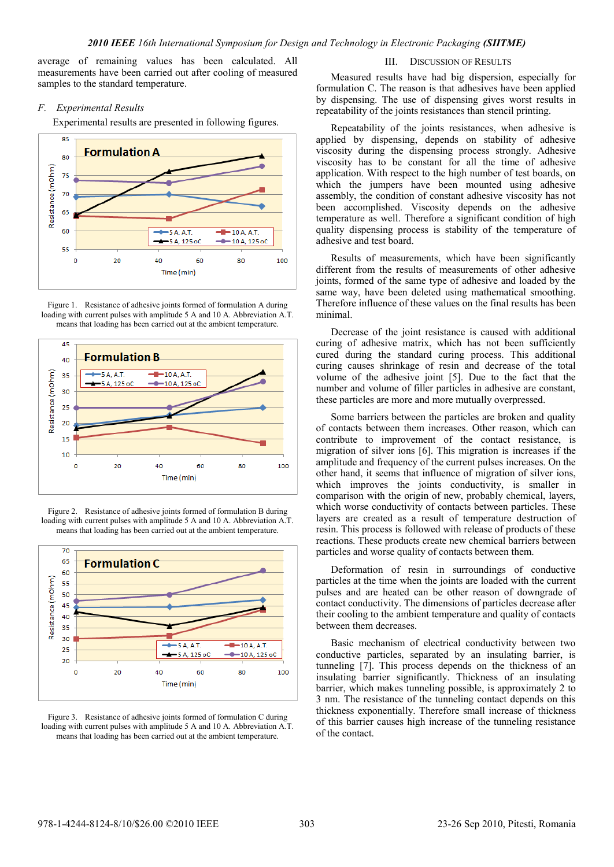average of remaining values has been calculated. All measurements have been carried out after cooling of measured samples to the standard temperature.

### *F. Experimental Results*

Experimental results are presented in following figures.



Figure 1. Resistance of adhesive joints formed of formulation A during loading with current pulses with amplitude 5 A and 10 A. Abbreviation A.T. means that loading has been carried out at the ambient temperature.



Figure 2. Resistance of adhesive joints formed of formulation B during loading with current pulses with amplitude 5 A and 10 A. Abbreviation A.T. means that loading has been carried out at the ambient temperature.



Figure 3. Resistance of adhesive joints formed of formulation C during loading with current pulses with amplitude 5 A and 10 A. Abbreviation A.T. means that loading has been carried out at the ambient temperature.

III. DISCUSSION OF RESULTS

Measured results have had big dispersion, especially for formulation C. The reason is that adhesives have been applied by dispensing. The use of dispensing gives worst results in repeatability of the joints resistances than stencil printing.

Repeatability of the joints resistances, when adhesive is applied by dispensing, depends on stability of adhesive viscosity during the dispensing process strongly. Adhesive viscosity has to be constant for all the time of adhesive application. With respect to the high number of test boards, on which the jumpers have been mounted using adhesive assembly, the condition of constant adhesive viscosity has not been accomplished. Viscosity depends on the adhesive temperature as well. Therefore a significant condition of high quality dispensing process is stability of the temperature of adhesive and test board.

Results of measurements, which have been significantly different from the results of measurements of other adhesive joints, formed of the same type of adhesive and loaded by the same way, have been deleted using mathematical smoothing. Therefore influence of these values on the final results has been minimal.

Decrease of the joint resistance is caused with additional curing of adhesive matrix, which has not been sufficiently cured during the standard curing process. This additional curing causes shrinkage of resin and decrease of the total volume of the adhesive joint [5]. Due to the fact that the number and volume of filler particles in adhesive are constant, these particles are more and more mutually overpressed.

Some barriers between the particles are broken and quality of contacts between them increases. Other reason, which can contribute to improvement of the contact resistance, is migration of silver ions [6]. This migration is increases if the amplitude and frequency of the current pulses increases. On the other hand, it seems that influence of migration of silver ions, which improves the joints conductivity, is smaller in comparison with the origin of new, probably chemical, layers, which worse conductivity of contacts between particles. These layers are created as a result of temperature destruction of resin. This process is followed with release of products of these reactions. These products create new chemical barriers between particles and worse quality of contacts between them.

Deformation of resin in surroundings of conductive particles at the time when the joints are loaded with the current pulses and are heated can be other reason of downgrade of contact conductivity. The dimensions of particles decrease after their cooling to the ambient temperature and quality of contacts between them decreases.

Basic mechanism of electrical conductivity between two conductive particles, separated by an insulating barrier, is tunneling [7]. This process depends on the thickness of an insulating barrier significantly. Thickness of an insulating barrier, which makes tunneling possible, is approximately 2 to 3 nm. The resistance of the tunneling contact depends on this thickness exponentially. Therefore small increase of thickness of this barrier causes high increase of the tunneling resistance of the contact.